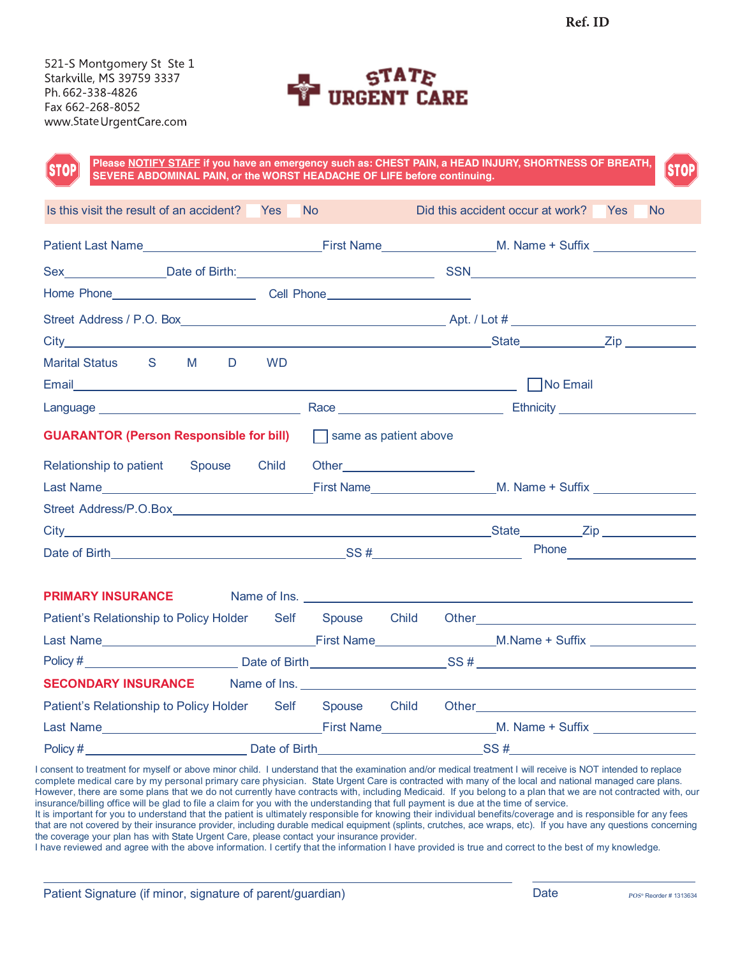521-S Montgomery St Ste 1 Starkville, MS 39759 3337 Ph. 662-338-4826 Fax 662-268-8052 www.StateUrgentCare.com



| <b>STOP</b><br>SEVERE ABDOMINAL PAIN, or the WORST HEADACHE OF LIFE before continuing. | Please NOTIFY STAFF if you have an emergency such as: CHEST PAIN, a HEAD INJURY, SHORTNESS OF BREATH,<br><b>STOP</b>                                                                                                                                                         |
|----------------------------------------------------------------------------------------|------------------------------------------------------------------------------------------------------------------------------------------------------------------------------------------------------------------------------------------------------------------------------|
| Is this visit the result of an accident? Yes No                                        | Did this accident occur at work? Yes<br><b>No</b>                                                                                                                                                                                                                            |
|                                                                                        | Patient Last Name <b>Example 2018</b> Last Name <b>Example 2018</b> Last Name <b>Example 2018</b> Last Name <b>Example 2018</b> Last Name <b>Example 2018</b> Last Name <b>Example 2018</b> Last Name <b>Example 2018</b> Last Name <b>Example 2018</b> Last Name <b>Exa</b> |
|                                                                                        |                                                                                                                                                                                                                                                                              |
|                                                                                        |                                                                                                                                                                                                                                                                              |
|                                                                                        |                                                                                                                                                                                                                                                                              |
|                                                                                        |                                                                                                                                                                                                                                                                              |
| M <sub>D</sub><br>Marital Status S<br><b>WD</b>                                        |                                                                                                                                                                                                                                                                              |
|                                                                                        |                                                                                                                                                                                                                                                                              |
| <b>GUARANTOR (Person Responsible for bill)</b> T same as patient above                 |                                                                                                                                                                                                                                                                              |
| Relationship to patient Spouse Child Other                                             | Last Name <b>M. Name</b> M. Name + Suffix Manne M. Name + Suffix Manne M. Name + Suffix Manne M. Name + Suffix Manne M. Name + Suffix Manne M. Name + Suffix Manne M. Name + Suffix Manne M. Name + Suffix Manne M. Name + Suffix M                                          |
|                                                                                        |                                                                                                                                                                                                                                                                              |
|                                                                                        |                                                                                                                                                                                                                                                                              |
|                                                                                        | <b>PRIMARY INSURANCE</b> Name of Ins. Name of Ins. Name of Ins. Name of Ins. Name of Ins. Name of Ins. Name of Ins. Name of Ins. Name of Ins. Name of Ins. Name of Ins. Name of Ins. Name of Ins. Name of Ins. Name of Ins. Name of                                          |
| Patient's Relationship to Policy Holder Self Spouse Child                              |                                                                                                                                                                                                                                                                              |
|                                                                                        |                                                                                                                                                                                                                                                                              |
|                                                                                        |                                                                                                                                                                                                                                                                              |
|                                                                                        | SECONDARY INSURANCE Name of Ins.                                                                                                                                                                                                                                             |
|                                                                                        | Patient's Relationship to Policy Holder Self Spouse Child Other Cherchard Cherchard Cherchard Cherchard Cherchard                                                                                                                                                            |
|                                                                                        | Last Name <b>M. Name Transformation</b> Last Name M. Name + Suffix Last Name M. Name N. Name M. Name N. Name N. Name N. Name N. Name N. Name N. Name N. Name N. Name N. Name N. Name N. Name N. Name N. Name N. Name N. Name N. Nam                                          |
| $Policy \#$                                                                            |                                                                                                                                                                                                                                                                              |

I consent to treatment for myself or above minor child. I understand that the examination and/or medical treatment I will receive is NOT intended to replace complete medical care by my personal primary care physician. State Urgent Care is contracted with many of the local and national managed care plans. However, there are some plans that we do not currently have contracts with, including Medicaid. If you belong to a plan that we are not contracted with, our insurance/billing office will be glad to file a claim for you with the understanding that full payment is due at the time of service. It is important for you to understand that the patient is ultimately responsible for knowing their individual benefits/coverage and is responsible for any fees

that are not covered by their insurance provider, including durable medical equipment (splints, crutches, ace wraps, etc). If you have any questions concerning the coverage your plan has with State Urgent Care, please contact your insurance provider.

I have reviewed and agree with the above information. I certify that the information I have provided is true and correct to the best of my knowledge.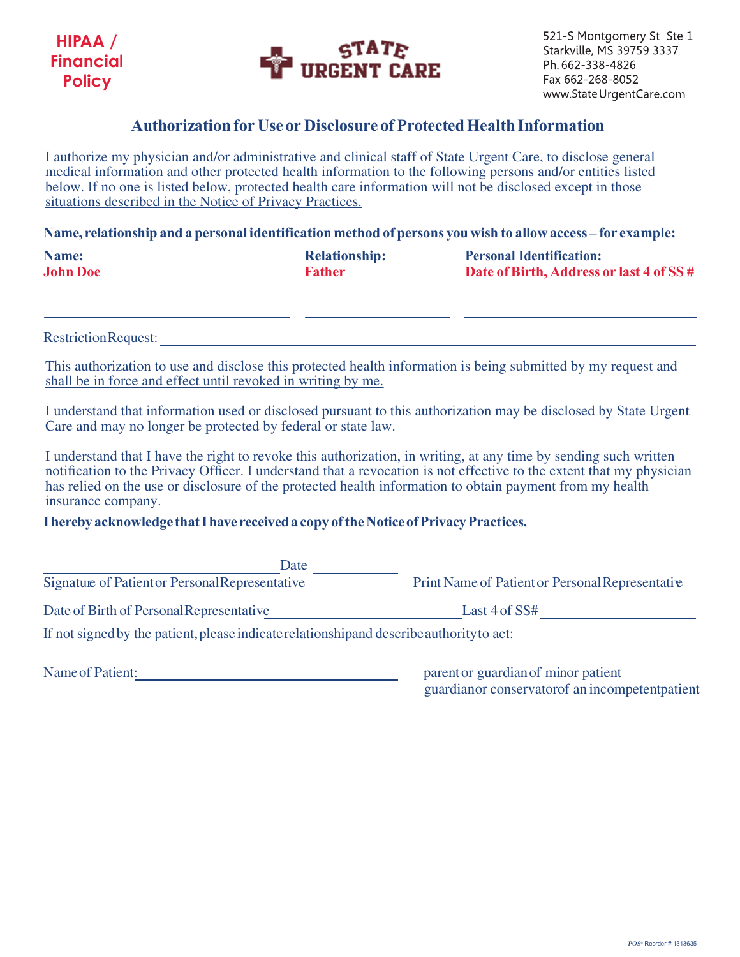



521-S Montgomery St Ste 1 Starkville, MS 39759 3337 Ph. 662-338-4826 Fax 662-268-8052 www.StateUrgentCare.com

## **Authorizationfor Use or Disclosure of Protected HealthInformation**

I authorize my physician and/or administrative and clinical staff of State Urgent Care, to disclose general medical information and other protected health information to the following persons and/or entities listed below. If no one is listed below, protected health care information will not be disclosed except in those situations described in the Notice of Privacy Practices.

**Name, relationship and a personal identification method of persons youwish to allowaccess – for example:**

| Name:           | <b>Relationship:</b> | <b>Personal Identification:</b>         |
|-----------------|----------------------|-----------------------------------------|
| <b>John Doe</b> | <b>Father</b>        | Date of Birth, Address or last 4 of SS# |
|                 |                      |                                         |

Restriction Request:

This authorization to use and disclose this protected health information is being submitted by my request and shall be in force and effect until revoked in writing by me.

I understand that information used or disclosed pursuant to this authorization may be disclosed by State Urgent Care and may no longer be protected by federal or state law.

I understand that I have the right to revoke this authorization, in writing, at any time by sending such written notification to the Privacy Officer. I understand that a revocation is not effective to the extent that my physician has relied on the use or disclosure of the protected health information to obtain payment from my health insurance company.

## **I hereby acknowledge that I have received a copy of the Notice of Privacy Practices.**

| Date                                                                                      |                                                  |
|-------------------------------------------------------------------------------------------|--------------------------------------------------|
| Signature of Patient or Personal Representative                                           | Print Name of Patient or Personal Representative |
| Date of Birth of Personal Representative                                                  | Last $4$ of SS#                                  |
| If not signed by the patient, please indicate relationship and describe authority to act: |                                                  |

Name of Patient: <u>parents</u> parent or guardian of minor patient guardianor conservatorof an incompetentpatient